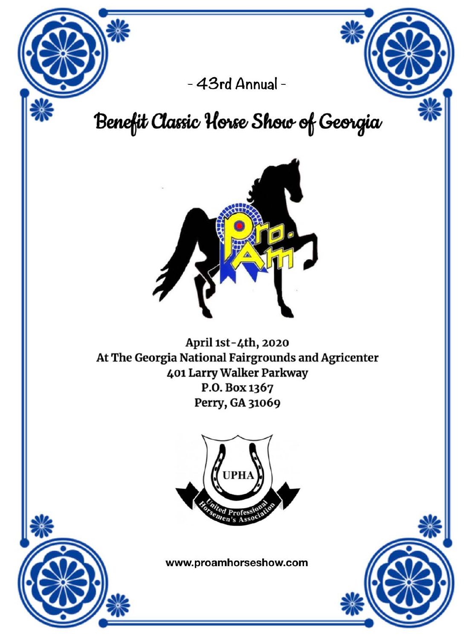

# Benefit Classic Horse Show of Georgia



April 1st-4th, 2020 At The Georgia National Fairgrounds and Agricenter 401 Larry Walker Parkway P.O. Box 1367 Perry, GA 31069







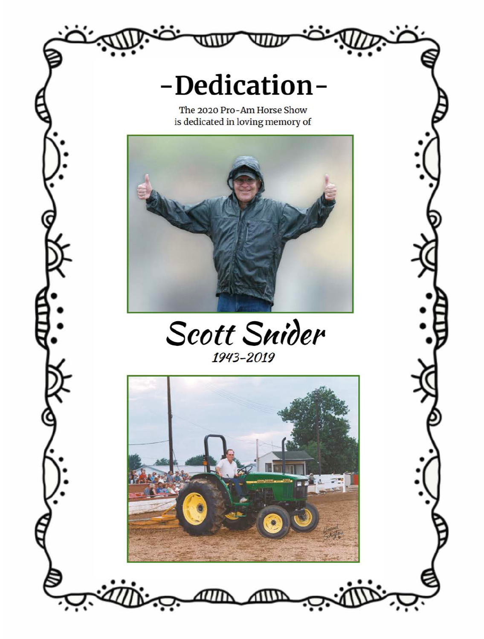The 2020 Pro-Am Horse Show



1943-2019

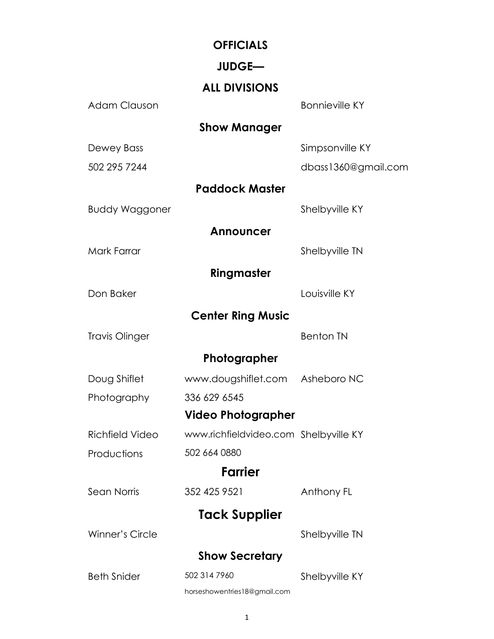#### **OFFICIALS**

#### **JUDGE—**

#### **ALL DIVISIONS**

| <b>Adam Clauson</b>    |                                       | <b>Bonnieville KY</b> |
|------------------------|---------------------------------------|-----------------------|
|                        | <b>Show Manager</b>                   |                       |
| Dewey Bass             |                                       | Simpsonville KY       |
| 502 295 7244           |                                       | dbass1360@gmail.com   |
|                        | <b>Paddock Master</b>                 |                       |
| <b>Buddy Waggoner</b>  |                                       | Shelbyville KY        |
|                        | <b>Announcer</b>                      |                       |
| Mark Farrar            |                                       | Shelbyville TN        |
|                        | Ringmaster                            |                       |
| Don Baker              |                                       | Louisville KY         |
|                        | <b>Center Ring Music</b>              |                       |
| <b>Travis Olinger</b>  |                                       | <b>Benton TN</b>      |
|                        | Photographer                          |                       |
| Doug Shiflet           | www.dougshiflet.com Asheboro NC       |                       |
| Photography            | 336 629 6545                          |                       |
|                        | <b>Video Photographer</b>             |                       |
| <b>Richfield Video</b> | www.richfieldvideo.com Shelbyville KY |                       |
| Productions            | 502 664 0880                          |                       |
|                        | <b>Farrier</b>                        |                       |
| Sean Norris            | 352 425 9521                          | Anthony FL            |
|                        | <b>Tack Supplier</b>                  |                       |
| <b>Winner's Circle</b> |                                       | Shelbyville TN        |
|                        | <b>Show Secretary</b>                 |                       |
| <b>Beth Snider</b>     | 502 314 7960                          | Shelbyville KY        |
|                        | horseshowentries18@gmail.com          |                       |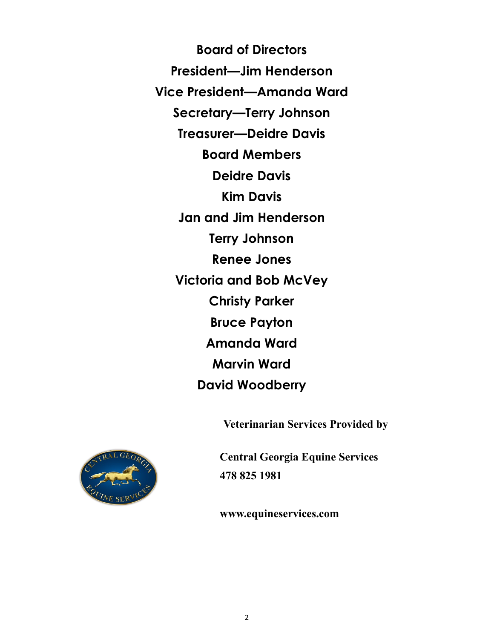**Board of Directors President—Jim Henderson Vice President—Amanda Ward Secretary—Terry Johnson Treasurer—Deidre Davis Board Members Deidre Davis Kim Davis Jan and Jim Henderson Terry Johnson Renee Jones Victoria and Bob McVey Christy Parker Bruce Payton Amanda Ward Marvin Ward David Woodberry** 

**Veterinarian Services Provided by**



**Central Georgia Equine Services 478 825 1981**

**www.equineservices.com**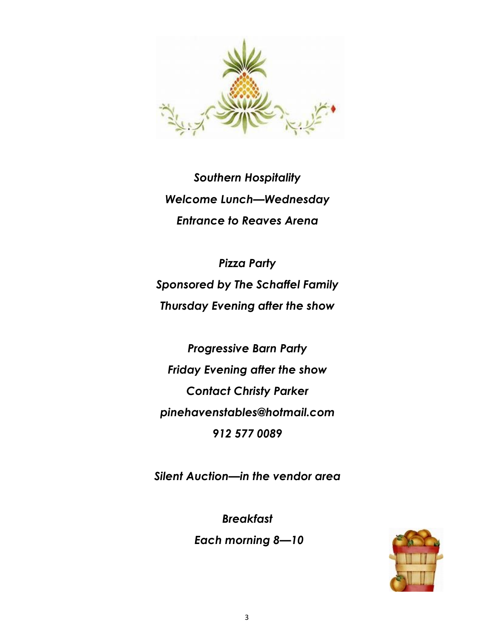

*Southern Hospitality Welcome Lunch—Wednesday Entrance to Reaves Arena*

*Pizza Party Sponsored by The Schaffel Family Thursday Evening after the show*

*Progressive Barn Party Friday Evening after the show Contact Christy Parker pinehavenstables@hotmail.com 912 577 0089*

*Silent Auction—in the vendor area*

*Breakfast Each morning 8—10*

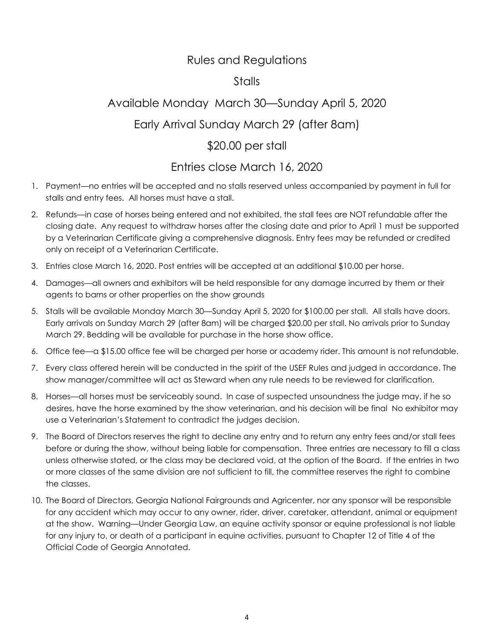#### Rules and Regulations

#### **Stalls**

## Available Monday March 30—Sunday April 5, 2020 Early Arrival Sunday March 29 (after 8am) \$20.00 per stall

#### Entries close March 16, 2020

- 1. Payment—no entries will be accepted and no stalls reserved unless accompanied by payment in full for stalls and entry fees. All horses must have a stall.
- 2. Refunds—in case of horses being entered and not exhibited, the stall fees are NOT refundable after the closing date. Any request to withdraw horses after the closing date and prior to April 1 must be supported by a Veterinarian Certificate giving a comprehensive diagnosis. Entry fees may be refunded or credited only on receipt of a Veterinarian Certificate.
- 3. Entries close March 16, 2020. Post entries will be accepted at an additional \$10.00 per horse.
- 4. Damages—all owners and exhibitors will be held responsible for any damage incurred by them or their agents to barns or other properties on the show grounds
- 5. Stalls will be available Monday March 30—Sunday April 5, 2020 for \$100.00 per stall. All stalls have doors. Early arrivals on Sunday March 29 (after 8am) will be charged \$20.00 per stall. No arrivals prior to Sunday March 29. Bedding will be available for purchase in the horse show office.
- 6. Office fee—a \$15.00 office fee will be charged per horse or academy rider. This amount is not refundable.
- 7. Every class offered herein will be conducted in the spirit of the USEF Rules and judged in accordance. The show manager/committee will act as Steward when any rule needs to be reviewed for clarification.
- 8. Horses—all horses must be serviceably sound. In case of suspected unsoundness the judge may, if he so desires, have the horse examined by the show veterinarian, and his decision will be final No exhibitor may use a Veterinarian's Statement to contradict the judges decision.
- 9. The Board of Directors reserves the right to decline any entry and to return any entry fees and/or stall fees before or during the show, without being liable for compensation. Three entries are necessary to fill a class unless otherwise stated, or the class may be declared void, at the option of the Board. If the entries in two or more classes of the same division are not sufficient to fill, the committee reserves the right to combine the classes.
- 10. The Board of Directors, Georgia National Fairgrounds and Agricenter, nor any sponsor will be responsible for any accident which may occur to any owner, rider, driver, caretaker, attendant, animal or equipment at the show. Warning—Under Georgia Law, an equine activity sponsor or equine professional is not liable for any injury to, or death of a participant in equine activities, pursuant to Chapter 12 of Title 4 of the Official Code of Georgia Annotated.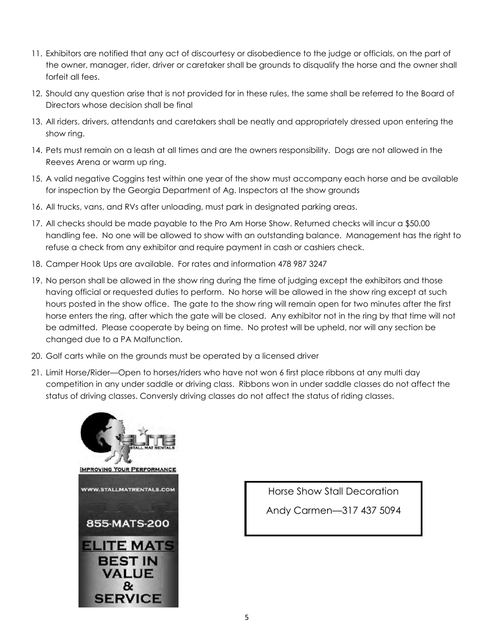- 11. Exhibitors are notified that any act of discourtesy or disobedience to the judge or officials, on the part of the owner, manager, rider, driver or caretaker shall be grounds to disqualify the horse and the owner shall forfeit all fees.
- 12. Should any question arise that is not provided for in these rules, the same shall be referred to the Board of Directors whose decision shall be final
- 13. All riders, drivers, attendants and caretakers shall be neatly and appropriately dressed upon entering the show ring.
- 14. Pets must remain on a leash at all times and are the owners responsibility. Dogs are not allowed in the Reeves Arena or warm up ring.
- 15. A valid negative Coggins test within one year of the show must accompany each horse and be available for inspection by the Georgia Department of Ag. Inspectors at the show grounds
- 16. All trucks, vans, and RVs after unloading, must park in designated parking areas.
- 17. All checks should be made payable to the Pro Am Horse Show. Returned checks will incur a \$50.00 handling fee. No one will be allowed to show with an outstanding balance. Management has the right to refuse a check from any exhibitor and require payment in cash or cashiers check.
- 18. Camper Hook Ups are available. For rates and information 478 987 3247
- 19. No person shall be allowed in the show ring during the time of judging except the exhibitors and those having official or requested duties to perform. No horse will be allowed in the show ring except at such hours posted in the show office. The gate to the show ring will remain open for two minutes after the first horse enters the ring, after which the gate will be closed. Any exhibitor not in the ring by that time will not be admitted. Please cooperate by being on time. No protest will be upheld, nor will any section be changed due to a PA Malfunction.
- 20. Golf carts while on the grounds must be operated by a licensed driver
- 21. Limit Horse/Rider—Open to horses/riders who have not won 6 first place ribbons at any multi day competition in any under saddle or driving class. Ribbons won in under saddle classes do not affect the status of driving classes. Conversly driving classes do not affect the status of riding classes.



Horse Show Stall Decoration Andy Carmen—317 437 5094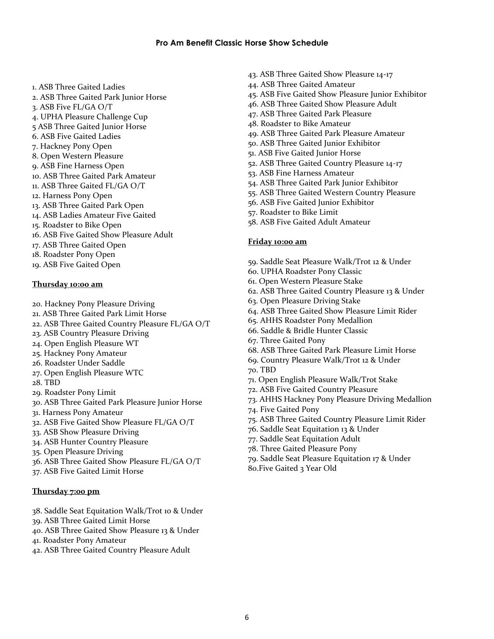- 1. ASB Three Gaited Ladies
- 2. ASB Three Gaited Park Junior Horse
- 3. ASB Five FL/GA O/T
- 4. UPHA Pleasure Challenge Cup
- 5 ASB Three Gaited Junior Horse
- 6. ASB Five Gaited Ladies
- 7. Hackney Pony Open
- 8. Open Western Pleasure
- 9. ASB Fine Harness Open
- 10. ASB Three Gaited Park Amateur
- 11. ASB Three Gaited FL/GA O/T
- 12. Harness Pony Open
- 13. ASB Three Gaited Park Open
- 14. ASB Ladies Amateur Five Gaited
- 15. Roadster to Bike Open
- 16. ASB Five Gaited Show Pleasure Adult
- 17. ASB Three Gaited Open
- 18. Roadster Pony Open
- 19. ASB Five Gaited Open

#### **Thursday 10:00 am**

- 20. Hackney Pony Pleasure Driving
- 21. ASB Three Gaited Park Limit Horse
- 22. ASB Three Gaited Country Pleasure FL/GA O/T
- 23. ASB Country Pleasure Driving
- 24. Open English Pleasure WT
- 25. Hackney Pony Amateur
- 26. Roadster Under Saddle
- 27. Open English Pleasure WTC
- 28. TBD
- 29. Roadster Pony Limit
- 30. ASB Three Gaited Park Pleasure Junior Horse
- 31. Harness Pony Amateur
- 32. ASB Five Gaited Show Pleasure FL/GA O/T
- 33. ASB Show Pleasure Driving
- 34. ASB Hunter Country Pleasure
- 35. Open Pleasure Driving
- 36. ASB Three Gaited Show Pleasure FL/GA O/T
- 37. ASB Five Gaited Limit Horse

#### **Thursday 7:00 pm**

- 38. Saddle Seat Equitation Walk/Trot 10 & Under
- 39. ASB Three Gaited Limit Horse
- 40. ASB Three Gaited Show Pleasure 13 & Under
- 41. Roadster Pony Amateur
- 42. ASB Three Gaited Country Pleasure Adult
- 43. ASB Three Gaited Show Pleasure 14-17
- 44. ASB Three Gaited Amateur
- 45. ASB Five Gaited Show Pleasure Junior Exhibitor
- 46. ASB Three Gaited Show Pleasure Adult
- 47. ASB Three Gaited Park Pleasure
- 48. Roadster to Bike Amateur
- 49. ASB Three Gaited Park Pleasure Amateur
- 50. ASB Three Gaited Junior Exhibitor
- 51. ASB Five Gaited Junior Horse
- 52. ASB Three Gaited Country Pleasure 14-17
- 53. ASB Fine Harness Amateur
- 54. ASB Three Gaited Park Junior Exhibitor
- 55. ASB Three Gaited Western Country Pleasure
- 56. ASB Five Gaited Junior Exhibitor
- 57. Roadster to Bike Limit
- 58. ASB Five Gaited Adult Amateur

#### **Friday 10:00 am**

- 59. Saddle Seat Pleasure Walk/Trot 12 & Under
- 60. UPHA Roadster Pony Classic
- 61. Open Western Pleasure Stake
- 62. ASB Three Gaited Country Pleasure 13 & Under
- 63. Open Pleasure Driving Stake
- 64. ASB Three Gaited Show Pleasure Limit Rider
- 65. AHHS Roadster Pony Medallion
- 66. Saddle & Bridle Hunter Classic
- 67. Three Gaited Pony
- 68. ASB Three Gaited Park Pleasure Limit Horse
- 69. Country Pleasure Walk/Trot 12 & Under
- 70. TBD
- 71. Open English Pleasure Walk/Trot Stake
- 72. ASB Five Gaited Country Pleasure
- 73. AHHS Hackney Pony Pleasure Driving Medallion
- 74. Five Gaited Pony
- 75. ASB Three Gaited Country Pleasure Limit Rider
- 76. Saddle Seat Equitation 13 & Under
- 77. Saddle Seat Equitation Adult
- 78. Three Gaited Pleasure Pony
- 79. Saddle Seat Pleasure Equitation 17 & Under
- 80.Five Gaited 3 Year Old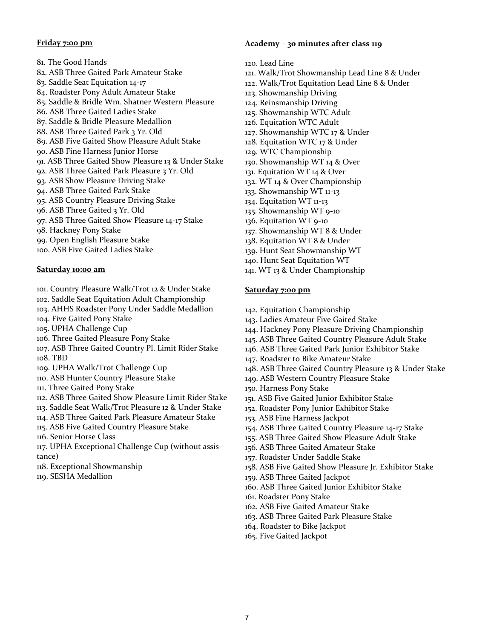#### **Friday 7:00 pm**

81. The Good Hands 82. ASB Three Gaited Park Amateur Stake 83. Saddle Seat Equitation 14-17 84. Roadster Pony Adult Amateur Stake 85. Saddle & Bridle Wm. Shatner Western Pleasure 86. ASB Three Gaited Ladies Stake 87. Saddle & Bridle Pleasure Medallion 88. ASB Three Gaited Park 3 Yr. Old 89. ASB Five Gaited Show Pleasure Adult Stake 90. ASB Fine Harness Junior Horse 91. ASB Three Gaited Show Pleasure 13 & Under Stake 92. ASB Three Gaited Park Pleasure 3 Yr. Old 93. ASB Show Pleasure Driving Stake 94. ASB Three Gaited Park Stake 95. ASB Country Pleasure Driving Stake 96. ASB Three Gaited 3 Yr. Old 97. ASB Three Gaited Show Pleasure 14-17 Stake 98. Hackney Pony Stake 99. Open English Pleasure Stake 100. ASB Five Gaited Ladies Stake

#### **Saturday 10:00 am**

101. Country Pleasure Walk/Trot 12 & Under Stake

- 102. Saddle Seat Equitation Adult Championship
- 103. AHHS Roadster Pony Under Saddle Medallion
- 104. Five Gaited Pony Stake
- 105. UPHA Challenge Cup
- 106. Three Gaited Pleasure Pony Stake
- 107. ASB Three Gaited Country Pl. Limit Rider Stake 108. TBD
- 109. UPHA Walk/Trot Challenge Cup
- 110. ASB Hunter Country Pleasure Stake
- 111. Three Gaited Pony Stake
- 112. ASB Three Gaited Show Pleasure Limit Rider Stake
- 113. Saddle Seat Walk/Trot Pleasure 12 & Under Stake
- 114. ASB Three Gaited Park Pleasure Amateur Stake
- 115. ASB Five Gaited Country Pleasure Stake
- 116. Senior Horse Class
- 117. UPHA Exceptional Challenge Cup (without assistance)
- 118. Exceptional Showmanship
- 119. SESHA Medallion

#### **Academy – 30 minutes after class 119**

- 120. Lead Line
- 121. Walk/Trot Showmanship Lead Line 8 & Under
- 122. Walk/Trot Equitation Lead Line 8 & Under
- 123. Showmanship Driving
- 124. Reinsmanship Driving
- 125. Showmanship WTC Adult
- 126. Equitation WTC Adult
- 127. Showmanship WTC 17 & Under
- 128. Equitation WTC 17 & Under
- 129. WTC Championship
- 130. Showmanship WT 14 & Over
- 131. Equitation WT 14 & Over
- 132. WT 14 & Over Championship
- 133. Showmanship WT 11-13
- 134. Equitation WT 11-13
- 135. Showmanship WT 9-10
- 136. Equitation WT 9-10
- 137. Showmanship WT 8 & Under
- 138. Equitation WT 8 & Under
- 139. Hunt Seat Showmanship WT
- 140. Hunt Seat Equitation WT
- 141. WT 13 & Under Championship

#### **Saturday 7:00 pm**

- 142. Equitation Championship
- 143. Ladies Amateur Five Gaited Stake
- 144. Hackney Pony Pleasure Driving Championship
- 145. ASB Three Gaited Country Pleasure Adult Stake
- 146. ASB Three Gaited Park Junior Exhibitor Stake
- 147. Roadster to Bike Amateur Stake
- 148. ASB Three Gaited Country Pleasure 13 & Under Stake
- 149. ASB Western Country Pleasure Stake
- 150. Harness Pony Stake
- 151. ASB Five Gaited Junior Exhibitor Stake
- 152. Roadster Pony Junior Exhibitor Stake
- 153. ASB Fine Harness Jackpot
- 154. ASB Three Gaited Country Pleasure 14-17 Stake
- 155. ASB Three Gaited Show Pleasure Adult Stake
- 156. ASB Three Gaited Amateur Stake
- 157. Roadster Under Saddle Stake
- 158. ASB Five Gaited Show Pleasure Jr. Exhibitor Stake
- 159. ASB Three Gaited Jackpot
- 160. ASB Three Gaited Junior Exhibitor Stake
- 161. Roadster Pony Stake
- 162. ASB Five Gaited Amateur Stake
- 163. ASB Three Gaited Park Pleasure Stake
- 164. Roadster to Bike Jackpot
- 165. Five Gaited Jackpot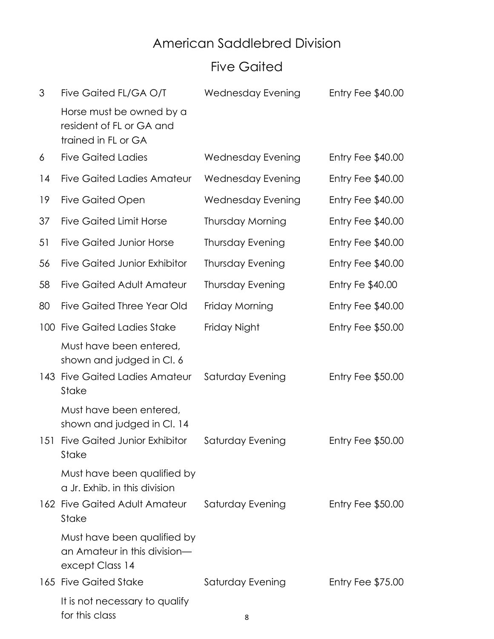## American Saddlebred Division

## Five Gaited

| 3   | Five Gaited FL/GA O/T                                                                                        | Wednesday Evening        | Entry Fee $$40.00$       |
|-----|--------------------------------------------------------------------------------------------------------------|--------------------------|--------------------------|
|     | Horse must be owned by a<br>resident of FL or GA and<br>trained in FL or GA                                  |                          |                          |
| 6   | <b>Five Gaited Ladies</b>                                                                                    | Wednesday Evening        | Entry Fee \$40.00        |
| 14  | <b>Five Gaited Ladies Amateur</b>                                                                            | <b>Wednesday Evening</b> | Entry Fee $$40.00$       |
| 19  | Five Gaited Open                                                                                             | Wednesday Evening        | Entry Fee $$40.00$       |
| 37  | <b>Five Gaited Limit Horse</b>                                                                               | <b>Thursday Morning</b>  | Entry Fee \$40.00        |
| 51  | <b>Five Gaited Junior Horse</b>                                                                              | <b>Thursday Evening</b>  | Entry Fee \$40.00        |
| 56  | <b>Five Gaited Junior Exhibitor</b>                                                                          | Thursday Evening         | Entry Fee \$40.00        |
| 58  | <b>Five Gaited Adult Amateur</b>                                                                             | <b>Thursday Evening</b>  | Entry Fe \$40.00         |
| 80  | <b>Five Gaited Three Year Old</b>                                                                            | Friday Morning           | Entry Fee \$40.00        |
| 100 | <b>Five Gaited Ladies Stake</b>                                                                              | Friday Night             | <b>Entry Fee \$50.00</b> |
| 143 | Must have been entered,<br>shown and judged in Cl. 6<br><b>Five Gaited Ladies Amateur</b><br>Stake           | Saturday Evening         | Entry Fee $$50.00$       |
| 151 | Must have been entered,<br>shown and judged in Cl. 14<br><b>Five Gaited Junior Exhibitor</b><br><b>Stake</b> | Saturday Evening         | <b>Entry Fee \$50.00</b> |
|     | Must have been qualified by<br>a Jr. Exhib. in this division<br>162 Five Gaited Adult Amateur<br>Stake       | Saturday Evening         | Entry Fee $$50.00$       |
|     | Must have been qualified by<br>an Amateur in this division-<br>except Class 14                               |                          |                          |
|     | 165 Five Gaited Stake                                                                                        | Saturday Evening         | Entry Fee $$75.00$       |
|     | It is not necessary to qualify<br>for this class                                                             | 8                        |                          |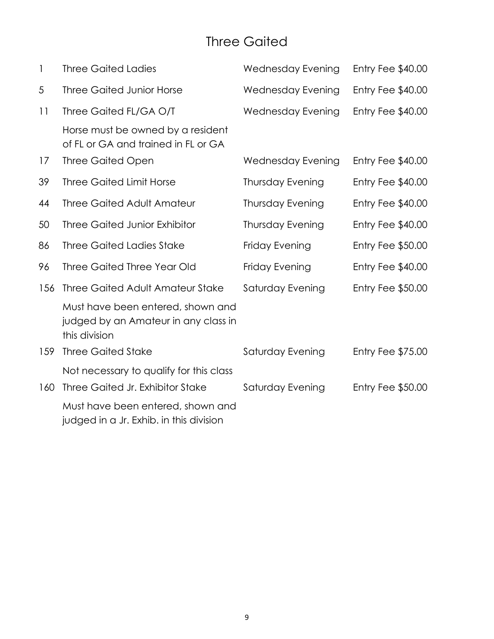### Three Gaited

| $\mathbf{1}$ | <b>Three Gaited Ladies</b>                                                                 | Wednesday Evening        | Entry Fee \$40.00        |
|--------------|--------------------------------------------------------------------------------------------|--------------------------|--------------------------|
| 5            | <b>Three Gaited Junior Horse</b>                                                           | Wednesday Evening        | Entry Fee \$40.00        |
| 11           | Three Gaited FL/GA O/T                                                                     | <b>Wednesday Evening</b> | Entry Fee \$40.00        |
|              | Horse must be owned by a resident<br>of FL or GA and trained in FL or GA                   |                          |                          |
| 17           | <b>Three Gaited Open</b>                                                                   | Wednesday Evening        | Entry Fee \$40.00        |
| 39           | <b>Three Gaited Limit Horse</b>                                                            | <b>Thursday Evening</b>  | Entry Fee \$40.00        |
| 44           | <b>Three Gaited Adult Amateur</b>                                                          | <b>Thursday Evening</b>  | Entry Fee \$40.00        |
| 50           | <b>Three Gaited Junior Exhibitor</b>                                                       | <b>Thursday Evening</b>  | Entry Fee \$40.00        |
| 86           | <b>Three Gaited Ladies Stake</b>                                                           | Friday Evening           | <b>Entry Fee \$50.00</b> |
| 96           | <b>Three Gaited Three Year Old</b>                                                         | Friday Evening           | Entry Fee \$40.00        |
| 156          | <b>Three Gaited Adult Amateur Stake</b>                                                    | Saturday Evening         | <b>Entry Fee \$50.00</b> |
|              | Must have been entered, shown and<br>judged by an Amateur in any class in<br>this division |                          |                          |
| 159          | <b>Three Gaited Stake</b>                                                                  | Saturday Evening         | <b>Entry Fee \$75.00</b> |
| 160          | Not necessary to qualify for this class<br>Three Gaited Jr. Exhibitor Stake                | Saturday Evening         | <b>Entry Fee \$50.00</b> |
|              | Must have been entered, shown and<br>judged in a Jr. Exhib. in this division               |                          |                          |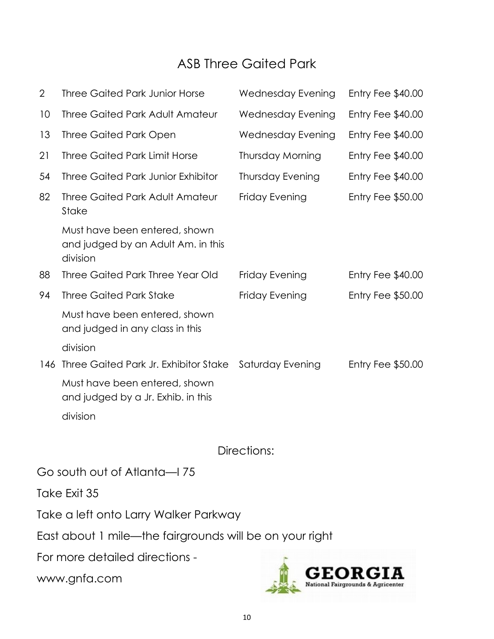## ASB Three Gaited Park

| $\overline{2}$ | <b>Three Gaited Park Junior Horse</b>                                           | Wednesday Evening        | Entry Fee $$40.00$ |
|----------------|---------------------------------------------------------------------------------|--------------------------|--------------------|
| 10             | <b>Three Gaited Park Adult Amateur</b>                                          | <b>Wednesday Evening</b> | Entry Fee \$40.00  |
| 13             | <b>Three Gaited Park Open</b>                                                   | Wednesday Evening        | Entry Fee \$40.00  |
| 21             | <b>Three Gaited Park Limit Horse</b>                                            | <b>Thursday Morning</b>  | Entry Fee \$40.00  |
| 54             | <b>Three Gaited Park Junior Exhibitor</b>                                       | <b>Thursday Evening</b>  | Entry Fee \$40.00  |
| 82             | <b>Three Gaited Park Adult Amateur</b><br><b>Stake</b>                          | Friday Evening           | Entry Fee \$50.00  |
|                | Must have been entered, shown<br>and judged by an Adult Am. in this<br>division |                          |                    |
| 88             | Three Gaited Park Three Year Old                                                | Friday Evening           | Entry Fee $$40.00$ |
| 94             | <b>Three Gaited Park Stake</b>                                                  | Friday Evening           | Entry Fee \$50.00  |
|                | Must have been entered, shown<br>and judged in any class in this                |                          |                    |
|                | division                                                                        |                          |                    |
| 146            | Three Gaited Park Jr. Exhibitor Stake                                           | Saturday Evening         | Entry Fee $$50.00$ |
|                | Must have been entered, shown<br>and judged by a Jr. Exhib. in this             |                          |                    |
|                | division                                                                        |                          |                    |
|                |                                                                                 | Directions:              |                    |
|                | Go south out of Atlanta-I 75                                                    |                          |                    |
|                | Take Exit 35                                                                    |                          |                    |
|                | Take a left onto Larry Walker Parkway                                           |                          |                    |
|                | East about 1 mile—the fairgrounds will be on your right                         |                          |                    |
|                | For more detailed directions -                                                  |                          |                    |

www.gnfa.com

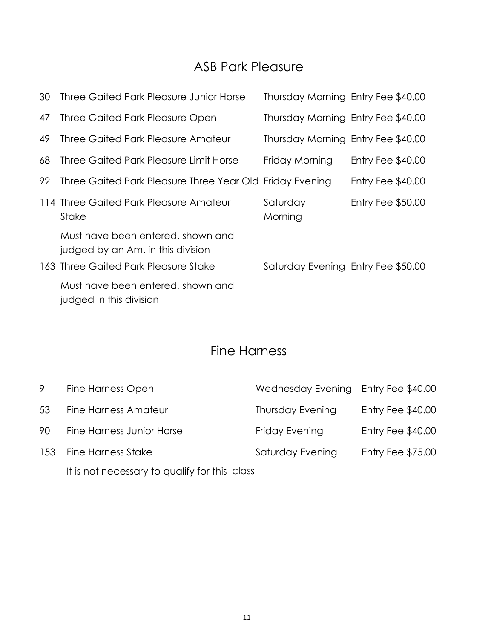#### ASB Park Pleasure

| 30 | Three Gaited Park Pleasure Junior Horse                                | Thursday Morning Entry Fee \$40.00 |                    |  |
|----|------------------------------------------------------------------------|------------------------------------|--------------------|--|
| 47 | Three Gaited Park Pleasure Open                                        | Thursday Morning Entry Fee \$40.00 |                    |  |
| 49 | Three Gaited Park Pleasure Amateur                                     | Thursday Morning Entry Fee \$40.00 |                    |  |
| 68 | Three Gaited Park Pleasure Limit Horse                                 | Friday Morning                     | Entry Fee $$40.00$ |  |
| 92 | Three Gaited Park Pleasure Three Year Old Friday Evening               |                                    | Entry Fee $$40.00$ |  |
|    | 114 Three Gaited Park Pleasure Amateur<br>Stake                        | Saturday<br>Morning                | Entry Fee $$50.00$ |  |
|    | Must have been entered, shown and<br>judged by an Am. in this division |                                    |                    |  |
|    | 163 Three Gaited Park Pleasure Stake                                   | Saturday Evening Entry Fee \$50.00 |                    |  |
|    | Must have been entered, shown and<br>judged in this division           |                                    |                    |  |

#### Fine Harness

| 9  | Fine Harness Open                             | Wednesday Evening Entry Fee \$40.00 |                          |
|----|-----------------------------------------------|-------------------------------------|--------------------------|
| 53 | Fine Harness Amateur                          | <b>Thursday Evening</b>             | Entry Fee \$40.00        |
| 90 | Fine Harness Junior Horse                     | Friday Evening                      | Entry Fee $$40.00$       |
|    | 153 Fine Harness Stake                        | Saturday Evening                    | <b>Entry Fee \$75.00</b> |
|    | It is not necessary to qualify for this class |                                     |                          |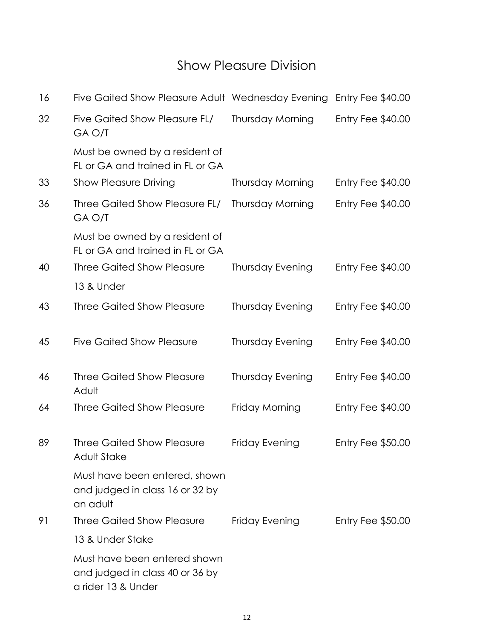#### Show Pleasure Division

| 16 | Five Gaited Show Pleasure Adult Wednesday Evening                                     |                         | Entry Fee $$40.00$       |
|----|---------------------------------------------------------------------------------------|-------------------------|--------------------------|
| 32 | Five Gaited Show Pleasure FL/<br>GA O/T                                               | <b>Thursday Morning</b> | Entry Fee $$40.00$       |
|    | Must be owned by a resident of<br>FL or GA and trained in FL or GA                    |                         |                          |
| 33 | <b>Show Pleasure Driving</b>                                                          | <b>Thursday Morning</b> | Entry Fee $$40.00$       |
| 36 | Three Gaited Show Pleasure FL/<br>GA O/T                                              | Thursday Morning        | Entry Fee \$40.00        |
|    | Must be owned by a resident of<br>FL or GA and trained in FL or GA                    |                         |                          |
| 40 | <b>Three Gaited Show Pleasure</b>                                                     | <b>Thursday Evening</b> | Entry Fee \$40.00        |
|    | 13 & Under                                                                            |                         |                          |
| 43 | <b>Three Gaited Show Pleasure</b>                                                     | <b>Thursday Evening</b> | Entry Fee $$40.00$       |
| 45 | <b>Five Gaited Show Pleasure</b>                                                      | <b>Thursday Evening</b> | Entry Fee $$40.00$       |
| 46 | <b>Three Gaited Show Pleasure</b><br>Adult                                            | Thursday Evening        | Entry Fee $$40.00$       |
| 64 | <b>Three Gaited Show Pleasure</b>                                                     | Friday Morning          | Entry Fee \$40.00        |
| 89 | <b>Three Gaited Show Pleasure</b><br><b>Adult Stake</b>                               | Friday Evening          | <b>Entry Fee \$50.00</b> |
|    | Must have been entered, shown<br>and judged in class 16 or 32 by<br>an adult          |                         |                          |
| 91 | <b>Three Gaited Show Pleasure</b>                                                     | Friday Evening          | Entry Fee $$50.00$       |
|    | 13 & Under Stake                                                                      |                         |                          |
|    | Must have been entered shown<br>and judged in class 40 or 36 by<br>a rider 13 & Under |                         |                          |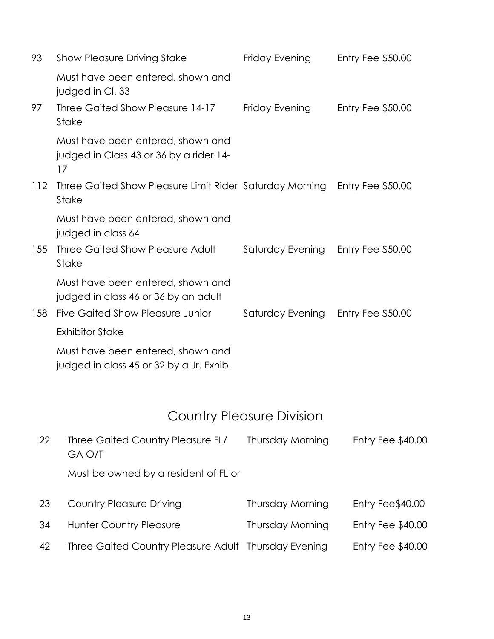| 93  | <b>Show Pleasure Driving Stake</b>                                                 | Friday Evening   | Entry Fee $$50.00$       |
|-----|------------------------------------------------------------------------------------|------------------|--------------------------|
|     | Must have been entered, shown and<br>judged in Cl. 33                              |                  |                          |
| 97  | Three Gaited Show Pleasure 14-17<br>Stake                                          | Friday Evening   | Entry Fee $$50.00$       |
|     | Must have been entered, shown and<br>judged in Class 43 or 36 by a rider 14-<br>17 |                  |                          |
| 112 | Three Gaited Show Pleasure Limit Rider Saturday Morning<br>Stake                   |                  | Entry Fee $$50.00$       |
|     | Must have been entered, shown and<br>judged in class 64                            |                  |                          |
| 155 | Three Gaited Show Pleasure Adult<br>Stake                                          | Saturday Evening | <b>Entry Fee \$50.00</b> |
|     | Must have been entered, shown and<br>judged in class 46 or 36 by an adult          |                  |                          |
| 158 | Five Gaited Show Pleasure Junior                                                   | Saturday Evening | Entry Fee $$50.00$       |
|     | <b>Exhibitor Stake</b>                                                             |                  |                          |
|     | Must have been entered, shown and<br>judged in class 45 or 32 by a Jr. Exhib.      |                  |                          |

## Country Pleasure Division

| 22 | Three Gaited Country Pleasure FL/<br>GA O/T<br>Must be owned by a resident of FL or | Thursday Morning        | Entry Fee \$40.00 |
|----|-------------------------------------------------------------------------------------|-------------------------|-------------------|
| 23 | <b>Country Pleasure Driving</b>                                                     | Thursday Morning        | Entry Fee\$40.00  |
| 34 | <b>Hunter Country Pleasure</b>                                                      | <b>Thursday Morning</b> | Entry Fee \$40.00 |
| 42 | Three Gaited Country Pleasure Adult Thursday Evening                                |                         | Entry Fee \$40.00 |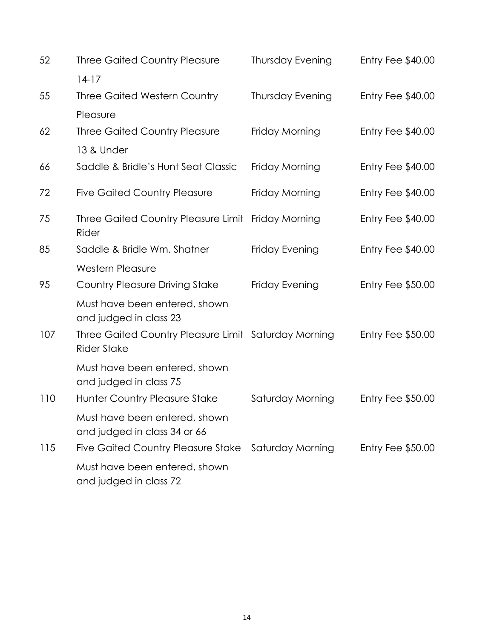| 52  | <b>Three Gaited Country Pleasure</b>                                       | <b>Thursday Evening</b> | Entry Fee \$40.00        |
|-----|----------------------------------------------------------------------------|-------------------------|--------------------------|
|     | $14-17$                                                                    |                         |                          |
| 55  | <b>Three Gaited Western Country</b>                                        | <b>Thursday Evening</b> | Entry Fee \$40.00        |
|     | Pleasure                                                                   |                         |                          |
| 62  | <b>Three Gaited Country Pleasure</b>                                       | Friday Morning          | Entry Fee \$40.00        |
|     | 13 & Under                                                                 |                         |                          |
| 66  | Saddle & Bridle's Hunt Seat Classic                                        | Friday Morning          | Entry Fee \$40.00        |
| 72  | <b>Five Gaited Country Pleasure</b>                                        | Friday Morning          | Entry Fee $$40.00$       |
| 75  | Three Gaited Country Pleasure Limit Friday Morning<br>Rider                |                         | Entry Fee \$40.00        |
| 85  | Saddle & Bridle Wm. Shatner                                                | Friday Evening          | Entry Fee $$40.00$       |
|     | Western Pleasure                                                           |                         |                          |
| 95  | <b>Country Pleasure Driving Stake</b>                                      | Friday Evening          | <b>Entry Fee \$50.00</b> |
|     | Must have been entered, shown<br>and judged in class 23                    |                         |                          |
| 107 | Three Gaited Country Pleasure Limit Saturday Morning<br><b>Rider Stake</b> |                         | Entry Fee \$50.00        |
|     | Must have been entered, shown<br>and judged in class 75                    |                         |                          |
| 110 | Hunter Country Pleasure Stake                                              | Saturday Morning        | Entry Fee $$50.00$       |
|     | Must have been entered, shown<br>and judged in class 34 or 66              |                         |                          |
| 115 | <b>Five Gaited Country Pleasure Stake</b>                                  | Saturday Morning        | Entry Fee \$50.00        |
|     | Must have been entered, shown<br>and judged in class 72                    |                         |                          |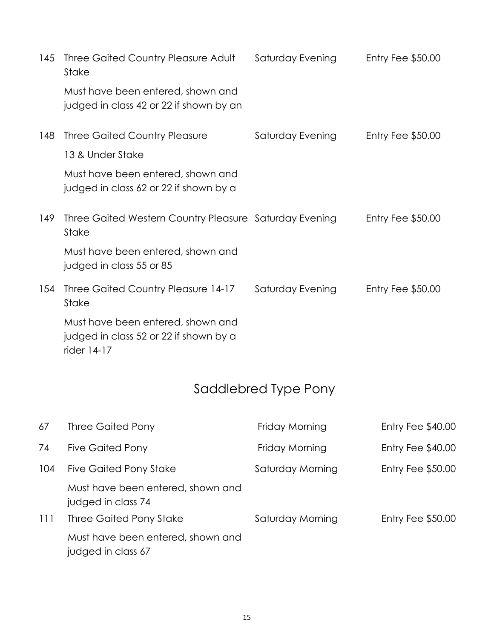| 145 | Three Gaited Country Pleasure Adult<br>Stake                                               | Saturday Evening | Entry Fee $$50.00$ |
|-----|--------------------------------------------------------------------------------------------|------------------|--------------------|
|     | Must have been entered, shown and<br>judged in class 42 or 22 if shown by an               |                  |                    |
| 148 | <b>Three Gaited Country Pleasure</b>                                                       | Saturday Evening | Entry Fee $$50.00$ |
|     | 13 & Under Stake                                                                           |                  |                    |
|     | Must have been entered, shown and<br>judged in class 62 or 22 if shown by a                |                  |                    |
| 149 | Three Gaited Western Country Pleasure Saturday Evening<br><b>Stake</b>                     |                  | Entry Fee $$50.00$ |
|     | Must have been entered, shown and<br>judged in class 55 or 85                              |                  |                    |
| 154 | Three Gaited Country Pleasure 14-17<br><b>Stake</b>                                        | Saturday Evening | Entry Fee $$50.00$ |
|     | Must have been entered, shown and<br>judged in class 52 or 22 if shown by a<br>rider 14-17 |                  |                    |

## Saddlebred Type Pony

| 67  | Three Gaited Pony                                       | Friday Morning   | Entry Fee $$40.00$ |
|-----|---------------------------------------------------------|------------------|--------------------|
| 74  | <b>Five Gaited Pony</b>                                 | Friday Morning   | Entry Fee $$40.00$ |
| 104 | Five Gaited Pony Stake                                  | Saturday Morning | Entry Fee $$50.00$ |
|     | Must have been entered, shown and<br>judged in class 74 |                  |                    |
| 111 | Three Gaited Pony Stake                                 | Saturday Morning | Entry Fee $$50.00$ |
|     | Must have been entered, shown and<br>judged in class 67 |                  |                    |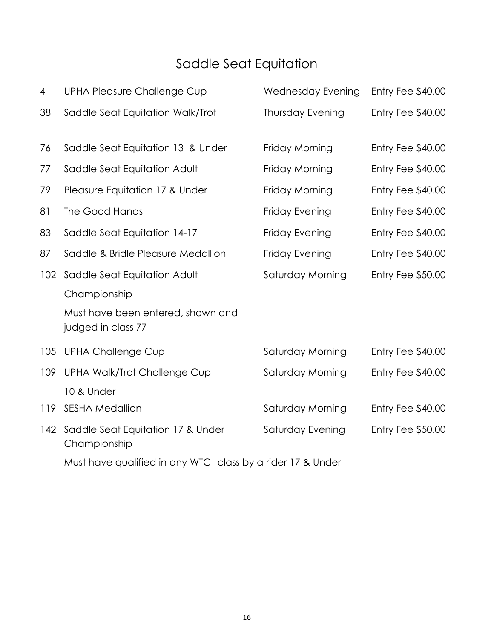## Saddle Seat Equitation

| 4                                                          | <b>UPHA Pleasure Challenge Cup</b>                      | <b>Wednesday Evening</b> | Entry Fee \$40.00        |
|------------------------------------------------------------|---------------------------------------------------------|--------------------------|--------------------------|
| 38                                                         | Saddle Seat Equitation Walk/Trot                        | <b>Thursday Evening</b>  | Entry Fee \$40.00        |
| 76                                                         | Saddle Seat Equitation 13 & Under                       | Friday Morning           | Entry Fee \$40.00        |
| 77                                                         | Saddle Seat Equitation Adult                            | Friday Morning           | Entry Fee \$40.00        |
| 79                                                         | Pleasure Equitation 17 & Under                          | Friday Morning           | Entry Fee \$40.00        |
| 81                                                         | The Good Hands                                          | Friday Evening           | Entry Fee \$40.00        |
| 83                                                         | Saddle Seat Equitation 14-17                            | Friday Evening           | Entry Fee \$40.00        |
| 87                                                         | Saddle & Bridle Pleasure Medallion                      | Friday Evening           | Entry Fee \$40.00        |
| 102 <sub>2</sub>                                           | Saddle Seat Equitation Adult                            | Saturday Morning         | <b>Entry Fee \$50.00</b> |
|                                                            | Championship                                            |                          |                          |
|                                                            | Must have been entered, shown and<br>judged in class 77 |                          |                          |
| 105                                                        | <b>UPHA Challenge Cup</b>                               | Saturday Morning         | Entry Fee $$40.00$       |
| 109                                                        | <b>UPHA Walk/Trot Challenge Cup</b>                     | Saturday Morning         | Entry Fee \$40.00        |
|                                                            | 10 & Under                                              |                          |                          |
| 119                                                        | <b>SESHA Medallion</b>                                  | Saturday Morning         | Entry Fee \$40.00        |
| 142                                                        | Saddle Seat Equitation 17 & Under<br>Championship       | Saturday Evening         | Entry Fee \$50.00        |
| Must have qualified in any WTC class by a rider 17 & Under |                                                         |                          |                          |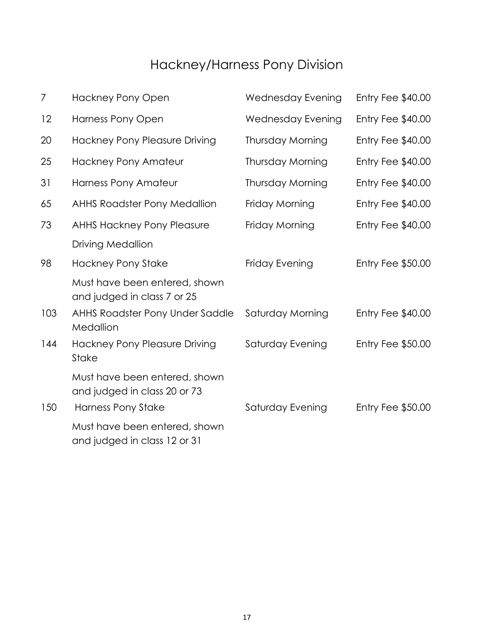## Hackney/Harness Pony Division

| 7   | <b>Hackney Pony Open</b>                                      | <b>Wednesday Evening</b> | Entry Fee \$40.00        |
|-----|---------------------------------------------------------------|--------------------------|--------------------------|
| 12  | <b>Harness Pony Open</b>                                      | <b>Wednesday Evening</b> | Entry Fee \$40.00        |
| 20  | <b>Hackney Pony Pleasure Driving</b>                          | <b>Thursday Morning</b>  | Entry Fee \$40.00        |
| 25  | <b>Hackney Pony Amateur</b>                                   | Thursday Morning         | Entry Fee \$40.00        |
| 31  | <b>Harness Pony Amateur</b>                                   | <b>Thursday Morning</b>  | Entry Fee \$40.00        |
| 65  | <b>AHHS Roadster Pony Medallion</b>                           | Friday Morning           | Entry Fee \$40.00        |
| 73  | <b>AHHS Hackney Pony Pleasure</b>                             | Friday Morning           | Entry Fee \$40.00        |
|     | <b>Driving Medallion</b>                                      |                          |                          |
| 98  | <b>Hackney Pony Stake</b>                                     | Friday Evening           | <b>Entry Fee \$50.00</b> |
|     | Must have been entered, shown<br>and judged in class 7 or 25  |                          |                          |
| 103 | AHHS Roadster Pony Under Saddle<br>Medallion                  | Saturday Morning         | Entry Fee \$40.00        |
| 144 | <b>Hackney Pony Pleasure Driving</b><br>Stake                 | Saturday Evening         | <b>Entry Fee \$50.00</b> |
|     | Must have been entered, shown<br>and judged in class 20 or 73 |                          |                          |
| 150 | <b>Harness Pony Stake</b>                                     | Saturday Evening         | <b>Entry Fee \$50.00</b> |
|     | Must have been entered, shown<br>and judged in class 12 or 31 |                          |                          |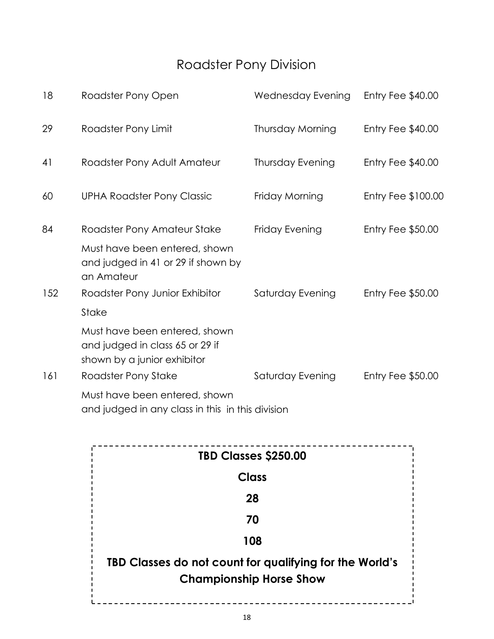## Roadster Pony Division

| 18  | Roadster Pony Open                                                                              | <b>Wednesday Evening</b> | Entry Fee \$40.00        |
|-----|-------------------------------------------------------------------------------------------------|--------------------------|--------------------------|
| 29  | Roadster Pony Limit                                                                             | <b>Thursday Morning</b>  | Entry Fee $$40.00$       |
| 41  | Roadster Pony Adult Amateur                                                                     | <b>Thursday Evening</b>  | Entry Fee $$40.00$       |
| 60  | <b>UPHA Roadster Pony Classic</b>                                                               | Friday Morning           | Entry Fee \$100.00       |
| 84  | Roadster Pony Amateur Stake                                                                     | Friday Evening           | <b>Entry Fee \$50.00</b> |
|     | Must have been entered, shown<br>and judged in 41 or 29 if shown by<br>an Amateur               |                          |                          |
| 152 | Roadster Pony Junior Exhibitor                                                                  | Saturday Evening         | <b>Entry Fee \$50.00</b> |
|     | Stake                                                                                           |                          |                          |
|     | Must have been entered, shown<br>and judged in class 65 or 29 if<br>shown by a junior exhibitor |                          |                          |
| 161 | Roadster Pony Stake                                                                             | Saturday Evening         | Entry Fee $$50.00$       |
|     | Must have been entered, shown<br>and judged in any class in this in this division               |                          |                          |

| TBD Classes \$250.00                                                                      |
|-------------------------------------------------------------------------------------------|
| <b>Class</b>                                                                              |
| 28                                                                                        |
| 70                                                                                        |
| 108                                                                                       |
| TBD Classes do not count for qualifying for the World's<br><b>Championship Horse Show</b> |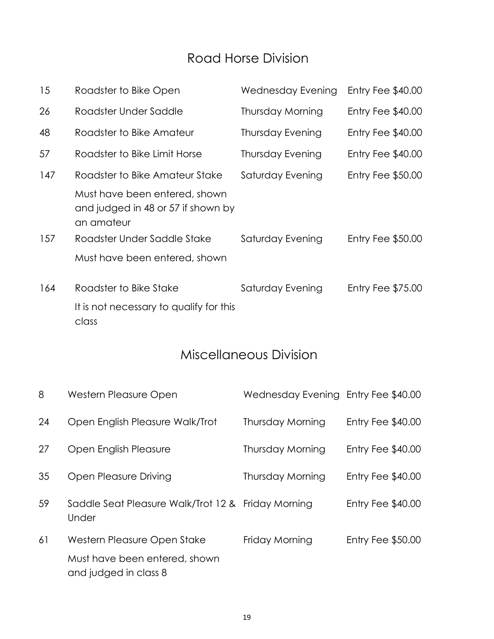### Road Horse Division

| 15  | Roadster to Bike Open                                                             | Wednesday Evening | Entry Fee $$40.00$ |
|-----|-----------------------------------------------------------------------------------|-------------------|--------------------|
| 26  | Roadster Under Saddle                                                             | Thursday Morning  | Entry Fee $$40.00$ |
| 48  | Roadster to Bike Amateur                                                          | Thursday Evening  | Entry Fee $$40.00$ |
| 57  | Roadster to Bike Limit Horse                                                      | Thursday Evening  | Entry Fee $$40.00$ |
| 147 | Roadster to Bike Amateur Stake                                                    | Saturday Evening  | Entry Fee $$50.00$ |
|     | Must have been entered, shown<br>and judged in 48 or 57 if shown by<br>an amateur |                   |                    |
| 157 | Roadster Under Saddle Stake                                                       | Saturday Evening  | Entry Fee $$50.00$ |
|     | Must have been entered, shown                                                     |                   |                    |
| 164 | Roadster to Bike Stake                                                            | Saturday Evening  | Entry Fee $$75.00$ |
|     | It is not necessary to qualify for this<br>class                                  |                   |                    |

## Miscellaneous Division

| 8  | Western Pleasure Open                                       | Wednesday Evening Entry Fee \$40.00 |                          |
|----|-------------------------------------------------------------|-------------------------------------|--------------------------|
| 24 | Open English Pleasure Walk/Trot                             | Thursday Morning                    | Entry Fee $$40.00$       |
| 27 | Open English Pleasure                                       | <b>Thursday Morning</b>             | Entry Fee $$40.00$       |
| 35 | Open Pleasure Driving                                       | Thursday Morning                    | Entry Fee $$40.00$       |
| 59 | Saddle Seat Pleasure Walk/Trot 12 & Friday Morning<br>Under |                                     | Entry Fee $$40.00$       |
| 61 | Western Pleasure Open Stake                                 | Friday Morning                      | <b>Entry Fee \$50.00</b> |
|    | Must have been entered, shown<br>and judged in class 8      |                                     |                          |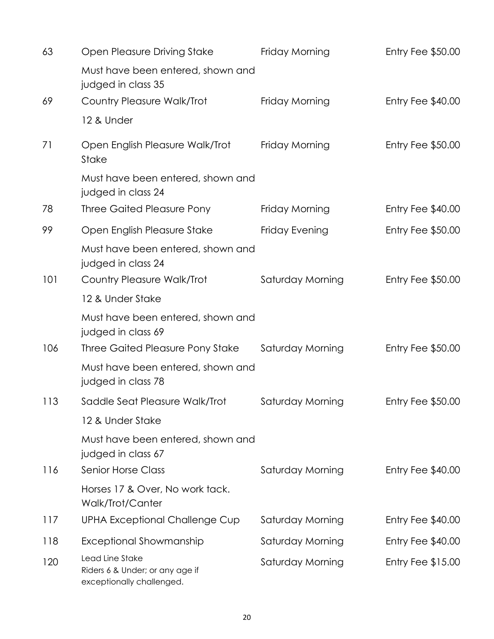| 63  | Open Pleasure Driving Stake                                                     | Friday Morning   | <b>Entry Fee \$50.00</b> |
|-----|---------------------------------------------------------------------------------|------------------|--------------------------|
|     | Must have been entered, shown and<br>judged in class 35                         |                  |                          |
| 69  | <b>Country Pleasure Walk/Trot</b>                                               | Friday Morning   | Entry Fee \$40.00        |
|     | 12 & Under                                                                      |                  |                          |
| 71  | Open English Pleasure Walk/Trot<br>Stake                                        | Friday Morning   | Entry Fee $$50.00$       |
|     | Must have been entered, shown and<br>judged in class 24                         |                  |                          |
| 78  | <b>Three Gaited Pleasure Pony</b>                                               | Friday Morning   | Entry Fee $$40.00$       |
| 99  | Open English Pleasure Stake                                                     | Friday Evening   | <b>Entry Fee \$50.00</b> |
|     | Must have been entered, shown and<br>judged in class 24                         |                  |                          |
| 101 | <b>Country Pleasure Walk/Trot</b>                                               | Saturday Morning | Entry Fee $$50.00$       |
|     | 12 & Under Stake                                                                |                  |                          |
|     | Must have been entered, shown and<br>judged in class 69                         |                  |                          |
| 106 | Three Gaited Pleasure Pony Stake                                                | Saturday Morning | Entry Fee $$50.00$       |
|     | Must have been entered, shown and<br>judged in class 78                         |                  |                          |
| 113 | Saddle Seat Pleasure Walk/Trot                                                  | Saturday Morning | Entry Fee $$50.00$       |
|     | 12 & Under Stake                                                                |                  |                          |
|     | Must have been entered, shown and<br>judged in class 67                         |                  |                          |
| 116 | <b>Senior Horse Class</b>                                                       | Saturday Morning | Entry Fee $$40.00$       |
|     | Horses 17 & Over, No work tack.<br>Walk/Trot/Canter                             |                  |                          |
| 117 | <b>UPHA Exceptional Challenge Cup</b>                                           | Saturday Morning | Entry Fee $$40.00$       |
| 118 | <b>Exceptional Showmanship</b>                                                  | Saturday Morning | Entry Fee $$40.00$       |
| 120 | Lead Line Stake<br>Riders 6 & Under; or any age if<br>exceptionally challenged. | Saturday Morning | Entry Fee $$15.00$       |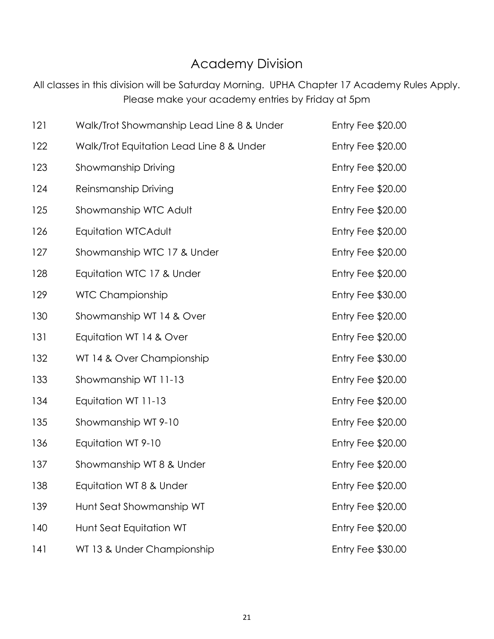#### Academy Division

All classes in this division will be Saturday Morning. UPHA Chapter 17 Academy Rules Apply. Please make your academy entries by Friday at 5pm

| 121 | Walk/Trot Showmanship Lead Line 8 & Under | Entry Fee $$20.00$       |
|-----|-------------------------------------------|--------------------------|
| 122 | Walk/Trot Equitation Lead Line 8 & Under  | Entry Fee \$20.00        |
| 123 | Showmanship Driving                       | Entry Fee \$20.00        |
| 124 | Reinsmanship Driving                      | Entry Fee \$20.00        |
| 125 | Showmanship WTC Adult                     | Entry Fee \$20.00        |
| 126 | Equitation WTCAdult                       | Entry Fee \$20.00        |
| 127 | Showmanship WTC 17 & Under                | Entry Fee \$20.00        |
| 128 | Equitation WTC 17 & Under                 | <b>Entry Fee \$20.00</b> |
| 129 | <b>WTC Championship</b>                   | <b>Entry Fee \$30.00</b> |
| 130 | Showmanship WT 14 & Over                  | Entry Fee \$20.00        |
| 131 | Equitation WT 14 & Over                   | Entry Fee \$20.00        |
| 132 | WT 14 & Over Championship                 | <b>Entry Fee \$30.00</b> |
| 133 | Showmanship WT 11-13                      | Entry Fee \$20.00        |
| 134 | Equitation WT 11-13                       | Entry Fee \$20.00        |
| 135 | Showmanship WT 9-10                       | Entry Fee \$20.00        |
| 136 | Equitation WT 9-10                        | Entry Fee \$20.00        |
| 137 | Showmanship WT 8 & Under                  | Entry Fee \$20.00        |
| 138 | Equitation WT 8 & Under                   | Entry Fee \$20.00        |
| 139 | Hunt Seat Showmanship WT                  | Entry Fee \$20.00        |
| 140 | Hunt Seat Equitation WT                   | Entry Fee \$20.00        |
| 141 | WT 13 & Under Championship                | Entry Fee \$30.00        |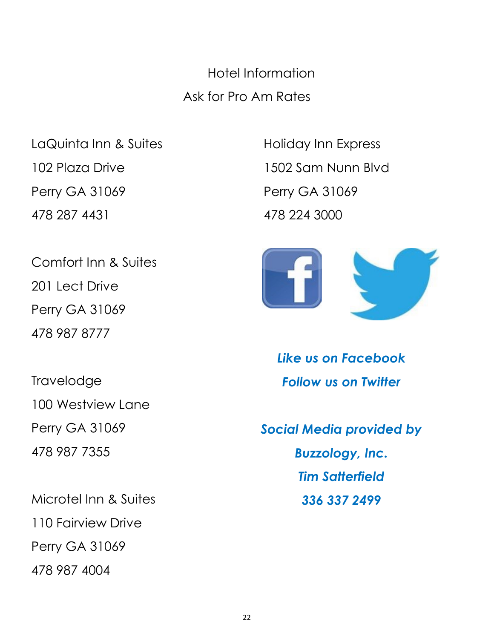Hotel Information Ask for Pro Am Rates

Perry GA 31069 Perry GA 31069 478 287 4431 478 224 3000

Comfort Inn & Suites 201 Lect Drive Perry GA 31069 478 987 8777

**Travelodge** 100 Westview Lane Perry GA 31069 478 987 7355

Microtel Inn & Suites 110 Fairview Drive Perry GA 31069 478 987 4004

LaQuinta Inn & Suites **Holiday Inn Express** 102 Plaza Drive 1502 Sam Nunn Blvd



*Like us on Facebook Follow us on Twitter*

*Social Media provided by Buzzology, Inc. Tim Satterfield 336 337 2499*